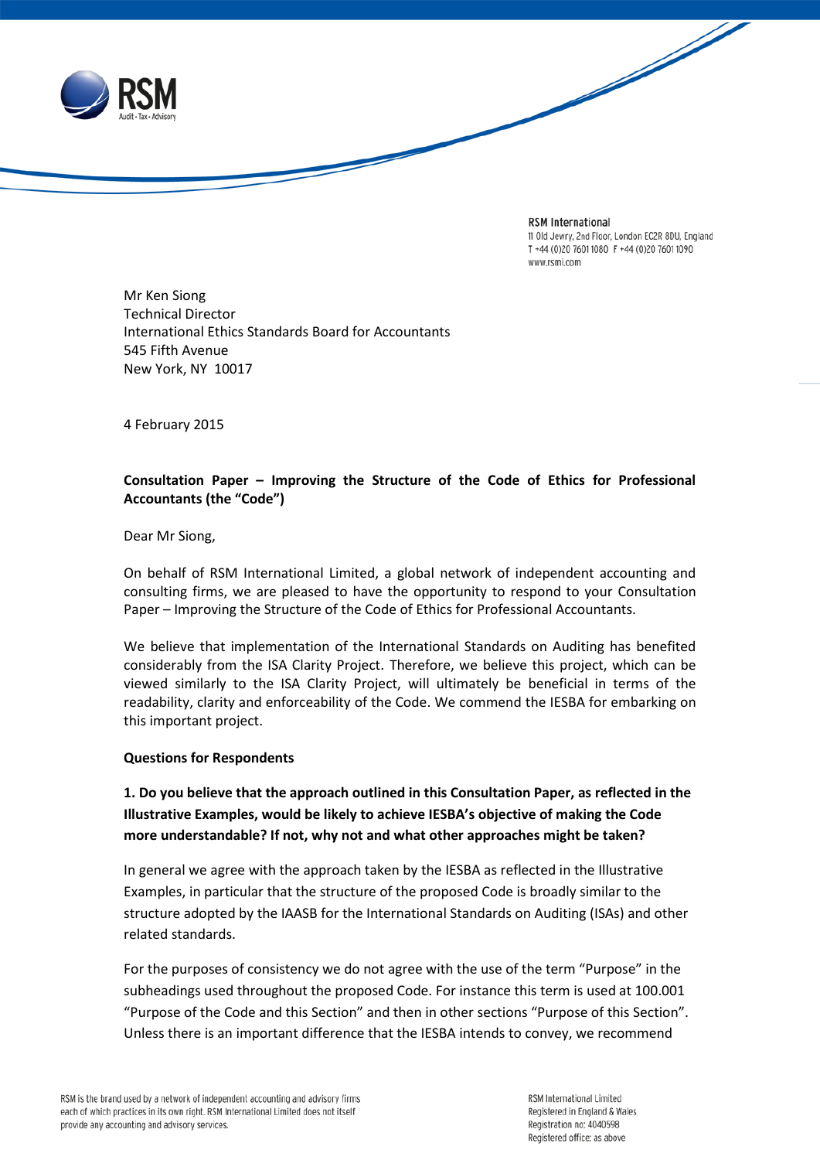

**RSM** International 11 Old Jewry, 2nd Floor, London EC2R 8DU, England T +44 (0)20 7601 1080 F +44 (0)20 7601 1090 www.rsmi.com

Mr Ken Siong Technical Director International Ethics Standards Board for Accountants 545 Fifth Avenue New York, NY 10017

4 February 2015

### **Consultation Paper – Improving the Structure of the Code of Ethics for Professional Accountants (the "Code")**

Dear Mr Siong,

On behalf of RSM International Limited, a global network of independent accounting and consulting firms, we are pleased to have the opportunity to respond to your Consultation Paper – Improving the Structure of the Code of Ethics for Professional Accountants.

We believe that implementation of the International Standards on Auditing has benefited considerably from the ISA Clarity Project. Therefore, we believe this project, which can be viewed similarly to the ISA Clarity Project, will ultimately be beneficial in terms of the readability, clarity and enforceability of the Code. We commend the IESBA for embarking on this important project.

### **Questions for Respondents**

# **1. Do you believe that the approach outlined in this Consultation Paper, as reflected in the Illustrative Examples, would be likely to achieve IESBA's objective of making the Code more understandable? If not, why not and what other approaches might be taken?**

In general we agree with the approach taken by the IESBA as reflected in the Illustrative Examples, in particular that the structure of the proposed Code is broadly similar to the structure adopted by the IAASB for the International Standards on Auditing (ISAs) and other related standards.

For the purposes of consistency we do not agree with the use of the term "Purpose" in the subheadings used throughout the proposed Code. For instance this term is used at 100.001 "Purpose of the Code and this Section" and then in other sections "Purpose of this Section". Unless there is an important difference that the IESBA intends to convey, we recommend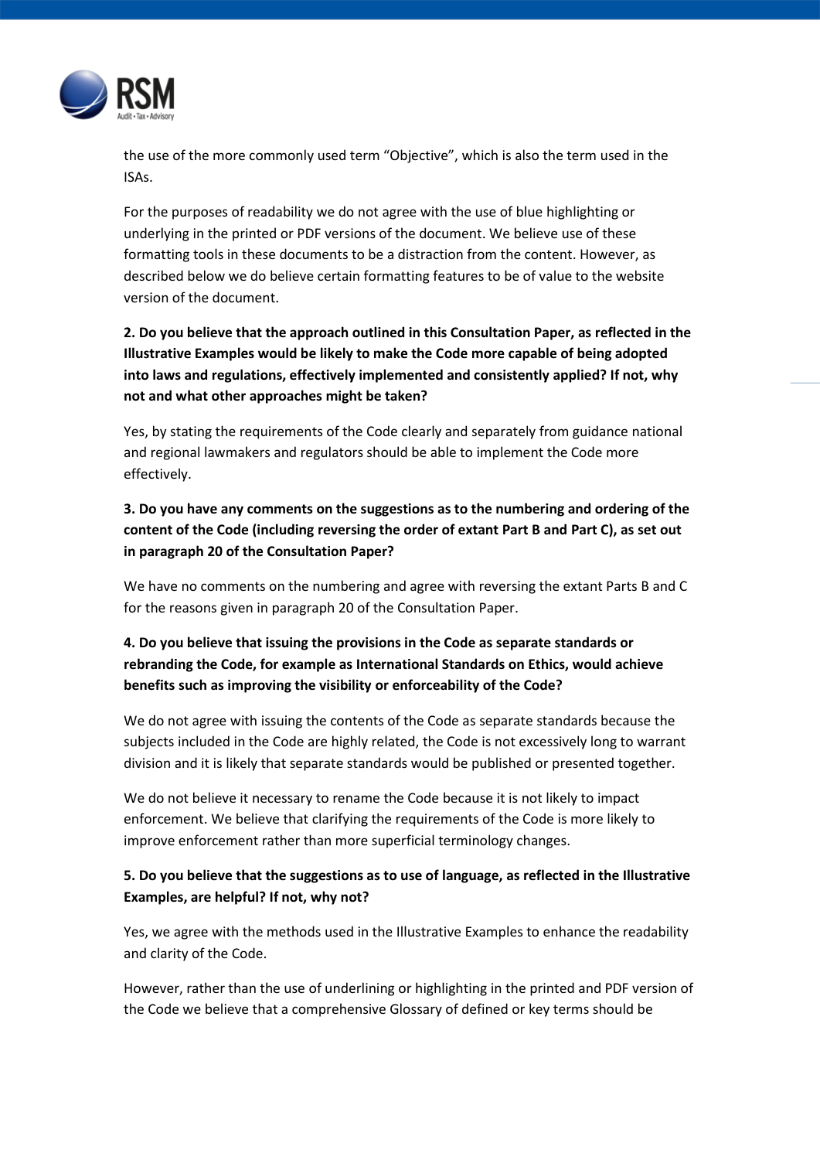

the use of the more commonly used term "Objective", which is also the term used in the ISAs.

For the purposes of readability we do not agree with the use of blue highlighting or underlying in the printed or PDF versions of the document. We believe use of these formatting tools in these documents to be a distraction from the content. However, as described below we do believe certain formatting features to be of value to the website version of the document.

**2. Do you believe that the approach outlined in this Consultation Paper, as reflected in the Illustrative Examples would be likely to make the Code more capable of being adopted into laws and regulations, effectively implemented and consistently applied? If not, why not and what other approaches might be taken?**

Yes, by stating the requirements of the Code clearly and separately from guidance national and regional lawmakers and regulators should be able to implement the Code more effectively.

**3. Do you have any comments on the suggestions as to the numbering and ordering of the content of the Code (including reversing the order of extant Part B and Part C), as set out in paragraph 20 of the Consultation Paper?**

We have no comments on the numbering and agree with reversing the extant Parts B and C for the reasons given in paragraph 20 of the Consultation Paper.

## **4. Do you believe that issuing the provisions in the Code as separate standards or rebranding the Code, for example as International Standards on Ethics, would achieve benefits such as improving the visibility or enforceability of the Code?**

We do not agree with issuing the contents of the Code as separate standards because the subjects included in the Code are highly related, the Code is not excessively long to warrant division and it is likely that separate standards would be published or presented together.

We do not believe it necessary to rename the Code because it is not likely to impact enforcement. We believe that clarifying the requirements of the Code is more likely to improve enforcement rather than more superficial terminology changes.

### **5. Do you believe that the suggestions as to use of language, as reflected in the Illustrative Examples, are helpful? If not, why not?**

Yes, we agree with the methods used in the Illustrative Examples to enhance the readability and clarity of the Code.

However, rather than the use of underlining or highlighting in the printed and PDF version of the Code we believe that a comprehensive Glossary of defined or key terms should be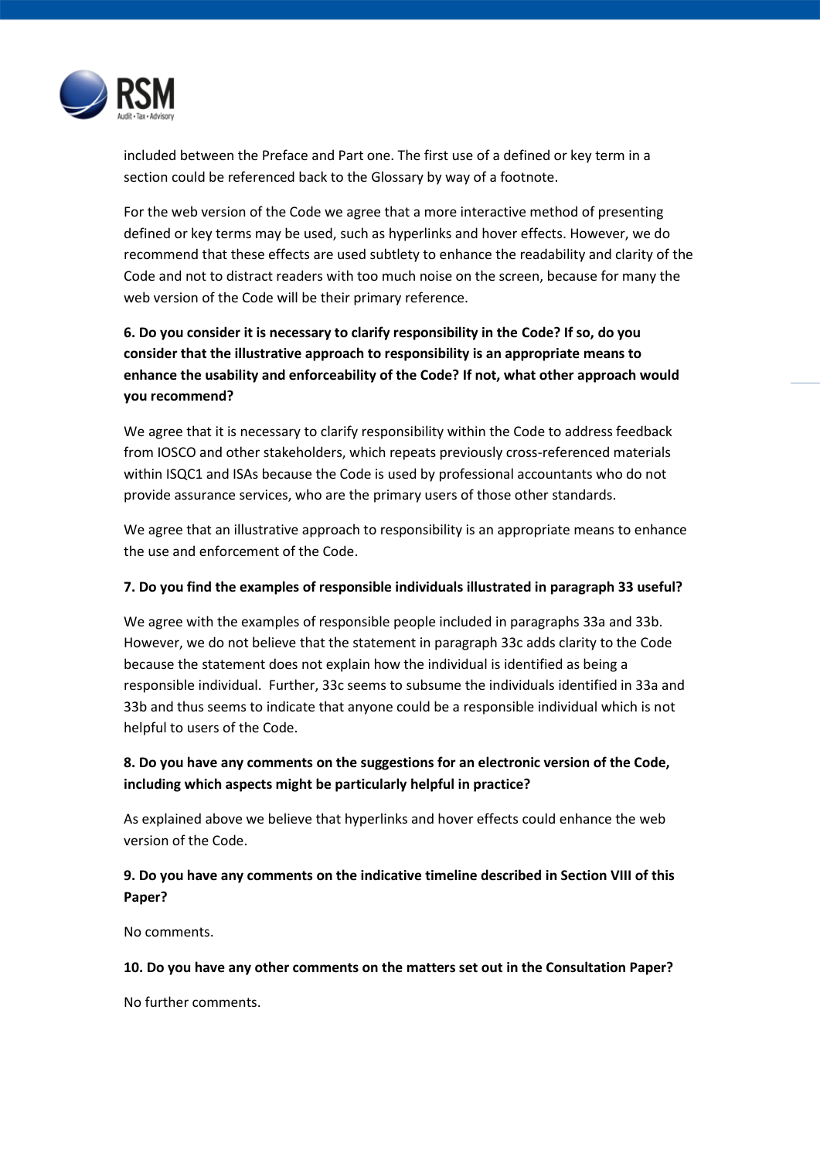

included between the Preface and Part one. The first use of a defined or key term in a section could be referenced back to the Glossary by way of a footnote.

For the web version of the Code we agree that a more interactive method of presenting defined or key terms may be used, such as hyperlinks and hover effects. However, we do recommend that these effects are used subtlety to enhance the readability and clarity of the Code and not to distract readers with too much noise on the screen, because for many the web version of the Code will be their primary reference.

# **6. Do you consider it is necessary to clarify responsibility in the Code? If so, do you consider that the illustrative approach to responsibility is an appropriate means to enhance the usability and enforceability of the Code? If not, what other approach would you recommend?**

We agree that it is necessary to clarify responsibility within the Code to address feedback from IOSCO and other stakeholders, which repeats previously cross-referenced materials within ISQC1 and ISAs because the Code is used by professional accountants who do not provide assurance services, who are the primary users of those other standards.

We agree that an illustrative approach to responsibility is an appropriate means to enhance the use and enforcement of the Code.

### **7. Do you find the examples of responsible individuals illustrated in paragraph 33 useful?**

We agree with the examples of responsible people included in paragraphs 33a and 33b. However, we do not believe that the statement in paragraph 33c adds clarity to the Code because the statement does not explain how the individual is identified as being a responsible individual. Further, 33c seems to subsume the individuals identified in 33a and 33b and thus seems to indicate that anyone could be a responsible individual which is not helpful to users of the Code.

## **8. Do you have any comments on the suggestions for an electronic version of the Code, including which aspects might be particularly helpful in practice?**

As explained above we believe that hyperlinks and hover effects could enhance the web version of the Code.

## **9. Do you have any comments on the indicative timeline described in Section VIII of this Paper?**

No comments.

### **10. Do you have any other comments on the matters set out in the Consultation Paper?**

No further comments.